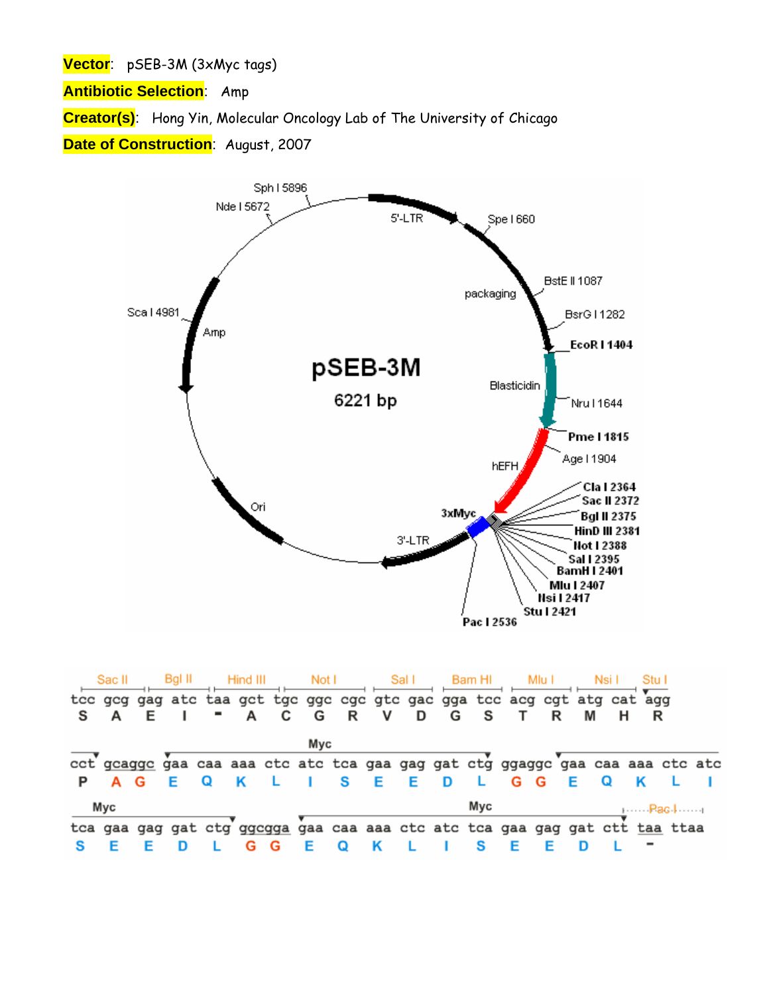**Vector**: pSEB-3M (3xMyc tags)

**Antibiotic Selection**: Amp

**Creator(s)**: Hong Yin, Molecular Oncology Lab of The University of Chicago

**Date of Construction**: August, 2007



|   | Sac II | Bal II |   | Hind III |   | Not I |   |         | Sal I |   | <b>Bam HI</b> |     | Mlu I |                                                                               |   |     |  |
|---|--------|--------|---|----------|---|-------|---|---------|-------|---|---------------|-----|-------|-------------------------------------------------------------------------------|---|-----|--|
|   |        |        |   |          |   |       |   |         |       |   |               |     |       | tcc gcg gag atc taa gct tgc ggc cgc gtc gac gga tcc acg cgt atg cat agg       |   |     |  |
| s | A      |        |   | $- A$    | C | G     | R | v       | D     | G | - S           |     |       |                                                                               |   |     |  |
|   |        |        |   |          |   | Myc   |   |         |       |   |               |     |       |                                                                               |   |     |  |
|   |        |        |   |          |   |       |   |         |       |   |               |     |       | cct gcagge gaa caa aaa ctc atc tca gaa gag gat ctg ggagge gaa caa aaa ctc atc |   |     |  |
|   | A G    |        | Q |          |   |       |   | S E E D |       |   | $-1$          | G G |       | Е                                                                             | Q | - K |  |
|   | Myc    |        |   |          |   |       |   |         |       |   | Myc           |     |       |                                                                               |   |     |  |
|   |        |        |   |          |   |       |   |         |       |   |               |     |       | tca gaa gag gat ctg ggcgga gaa caa aaa ctc atc tca gaa gag gat ctt taa ttaa   |   |     |  |
|   |        |        |   |          | G |       |   |         |       |   |               |     |       |                                                                               |   |     |  |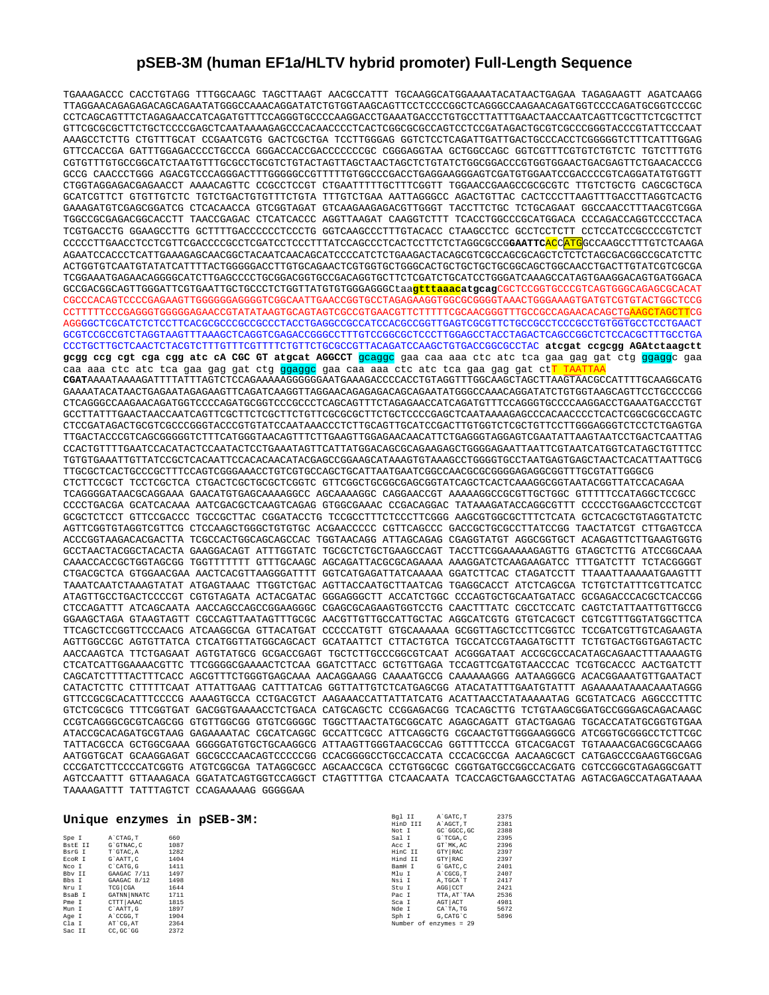## **pSEB-3M (human EF1a/HLTV hybrid promoter) Full-Length Sequence**

TGAAAGACCC CACCTGTAGG TTTGGCAAGC TAGCTTAAGT AACGCCATTT TGCAAGGCATGGAAAATACATAACTGAGAA TAGAGAAGTT AGATCAAGG TTAGGAACAGAGAGACAGCAGAATATGGGCCAAACAGGATATCTGTGGTAAGCAGTTCCTCCCCGGCTCAGGGCCAAGAACAGATGGTCCCCAGATGCGGTCCCGC CCTCAGCAGTTTCTAGAGAACCATCAGATGTTTCCAGGGTGCCCCAAGGACCTGAAATGACCCTGTGCCTTATTTGAACTAACCAATCAGTTCGCTTCTCGCTTCT GTTCGCGCGCTTCTGCTCCCCGAGCTCAATAAAAGAGCCCACAACCCCTCACTCGGCGCGCCAGTCCTCCGATAGACTGCGTCGCCCGGGTACCCGTATTCCCAAT AAAGCCTCTTG CTGTTTGCAT CCGAATCGTG GACTCGCTGA TCCTTGGGAG GGTCTCCTCAGATTGATTGACTGCCCACCTCGGGGGTCTTTCATTTGGAG GTTCCACCGA GATTTGGAGACCCCTGCCCA GGGACCACCGACCCCCCCGC CGGGAGGTAA GCTGGCCAGC GGTCGTTTCGTGTCTGTCTC TGTCTTTGTG CGTGTTTGTGCCGGCATCTAATGTTTGCGCCTGCGTCTGTACTAGTTAGCTAACTAGCTCTGTATCTGGCGGACCCGTGGTGGAACTGACGAGTTCTGAACACCCG GCCG CAACCCTGGG AGACGTCCCAGGGACTTTGGGGGCCGTTTTTGTGGCCCGACCTGAGGAAGGGAGTCGATGTGGAATCCGACCCCGTCAGGATATGTGGTT CTGGTAGGAGACGAGAACCT AAAACAGTTC CCGCCTCCGT CTGAATTTTTGCTTTCGGTT TGGAACCGAAGCCGCGCGTC TTGTCTGCTG CAGCGCTGCA GCATCGTTCT GTGTTGTCTC TGTCTGACTGTGTTTCTGTA TTTGTCTGAA AATTAGGGCC AGACTGTTAC CACTCCCTTAAGTTTGACCTTAGGTCACTG GAAAGATGTCGAGCGGATCG CTCACAACCA GTCGGTAGAT GTCAAGAAGAGACGTTGGGT TACCTTCTGC TCTGCAGAAT GGCCAACCTTTAACGTCGGA TGGCCGCGAGACGGCACCTT TAACCGAGAC CTCATCACCC AGGTTAAGAT CAAGGTCTTT TCACCTGGCCCGCATGGACA CCCAGACCAGGTCCCCTACA TCGTGACCTG GGAAGCCTTG GCTTTTGACCCCCCTCCCTG GGTCAAGCCCTTTGTACACC CTAAGCCTCC GCCTCCTCTT CCTCCATCCGCCCCGTCTCT CCCCCTTGAACCTCCTCGTTCGACCCCGCCTCGATCCTCCCTTTATCCAGCCCTCACTCCTTCTCTAGGCGCCG**GAATTC**ACCATGGCCAAGCCTTTGTCTCAAGA AGAATCCACCCTCATTGAAAGAGCAACGGCTACAATCAACAGCATCCCCATCTCTGAAGACTACAGCGTCGCCAGCGCAGCTCTCTCTAGCGACGGCCGCATCTTC ACTGGTGTCAATGTATATCATTTTACTGGGGGACCTTGTGCAGAACTCGTGGTGCTGGGCACTGCTGCTGCTGCGGCAGCTGGCAACCTGACTTGTATCGTCGCGA TCGGAAATGAGAACAGGGGCATCTTGAGCCCCTGCGGACGGTGCCGACAGGTGCTTCTCGATCTGCATCCTGGGATCAAAGCCATAGTGAAGGACAGTGATGGACA GCCGACGGCAGTTGGGATTCGTGAATTGCTGCCCTCTGGTTATGTGTGGGAGGGCtaa**gtttaaacatgcag**CGCTCCGGTGCCCGTCAGTGGGCAGAGCGCACAT CGCCCACAGTCCCCGAGAAGTTGGGGGGAGGGGTCGGCAATTGAACCGGTGCCTAGAGAAGGTGGCGCGGGGTAAACTGGGAAAGTGATGTCGTGTACTGGCTCCG CCTTTTTCCCGAGGGTGGGGGAGAACCGTATATAAGTGCAGTAGTCGCCGTGAACGTTCTTTTTCGCAACGGGTTTGCCGCCAGAACACAGCTGAAGCTAGCTTCG AGGGGCTCGCATCTCTCCTTCACGCGCCCGCCGCCCTACCTGAGGCCGCCATCCACGCCGGTTGAGTCGCGTTCTGCCGCCTCCCGCCTGTGGTGCCTCCTGAACT GCGTCCGCCGTCTAGGTAAGTTTAAAGCTCAGGTCGAGACCGGGCCTTTGTCCGGCGCTCCCTTGGAGCCTACCTAGACTCAGCCGGCTCTCCACGCTTTGCCTGA CCCTGCTTGCTCAACTCTACGTCTTTGTTTCGTTTTCTGTTCTGCGCCGTTACAGATCCAAGCTGTGACCGGCGCCTAC **atcgat ccgcgg AGAtctaagctt gcgg ccg cgt cga cgg atc cA CGC GT atgcat AGGCCT** gcaggc gaa caa aaa ctc atc tca gaa gag gat ctg ggaggc gaa caa aaa ctc atc tca gaa gag gat ctg <mark>ggaggo</mark> gaa caa aaa ctc atc tca gaa gag gat ct<mark>T TAAT</mark> **CGAT**AAAATAAAAGATTTTATTTAGTCTCCAGAAAAAGGGGGGAATGAAAGACCCCACCTGTAGGTTTGGCAAGCTAGCTTAAGTAACGCCATTTTGCAAGGCATG GAAAATACATAACTGAGAATAGAGAAGTTCAGATCAAGGTTAGGAACAGAGAGACAGCAGAATATGGGCCAAACAGGATATCTGTGGTAAGCAGTTCCTGCCCCGG CTCAGGGCCAAGAACAGATGGTCCCCAGATGCGGTCCCGCCCTCAGCAGTTTCTAGAGAACCATCAGATGTTTCCAGGGTGCCCCAAGGACCTGAAATGACCCTGT GCCTTATTTGAACTAACCAATCAGTTCGCTTCTCGCTTCTGTTCGCGCGCTTCTGCTCCCCGAGCTCAATAAAAGAGCCCACAACCCCTCACTCGGCGCGCCAGTC רידר הארטונאמארים הראשונות המנויים המוכל הארטיים את המנויים המוכל מהיוויים מהיוויים מהיוויים המוכל המנויים המנויים מה TTGACTACCCGTCAGCGGGGGTCTTTCATGGGTAACAGTTTCTTGAAGTTGGAGAACAACATTCTGAGGGTAGGAGTCGAATATTAAGTAATCCTGACTCAATTAG CCACTGTTTTGAATCCACATACTCCAATACTCCTGAAATAGTTCATTATGGACAGCGCAGAAGAGCTGGGGAGAATTAATTCGTAATCATGGTCATAGCTGTTTCC TGTGTGAAATTGTTATCCGCTCACAATTCCACACAACATACGAGCCGGAAGCATAAAGTGTAAAGCCTGGGGTGCCTAATGAGTGAGCTAACTCACATTAATTGCG TTGCGCTCACTGCCCGCTTTCCAGTCGGGAAACCTGTCGTGCCAGCTGCATTAATGAATCGGCCAACGCGCGGGGAGAGGCGGTTTGCGTATTGGGCG CTCTTCCGCT TCCTCGCTCA CTGACTCGCTGCGCTCGGTC GTTCGGCTGCGGCGAGCGGTATCAGCTCACTCAAAGGCGGTAATACGGTTATCCACAGAA TCAGGGGATAACGCAGGAAA GAACATGTGAGCAAAAGGCC AGCAAAAGGC CAGGAACCGT AAAAAGGCCGCGTTGCTGGC GTTTTTCCATAGGCTCCGCC CCCCTGACGA GCATCACAAA AATCGACGCTCAAGTCAGAG GTGGCGAAAC CCGACAGGAC TATAAAGATACCAGGCGTTT CCCCCTGGAAGCTCCCTCGT GCGCTCTCCT GTTCCGACCC TGCCGCTTAC CGGATACCTG TCCGCCTTTCTCCCTTCGGG AAGCGTGGCGCTTTCTCATA GCTCACGCTGTAGGTATCTC AGTTCGGTGTAGGTCGTTCG CTCCAAGCTGGGCTGTGTGC ACGAACCCCC CGTTCAGCCC GACCGCTGCGCCTTATCCGG TAACTATCGT CTTGAGTCCA ACCCGGTAAGACACGACTTA TCGCCACTGGCAGCAGCCAC TGGTAACAGG ATTAGCAGAG CGAGGTATGT AGGCGGTGCT ACAGAGTTCTTGAAGTGGTG GCCTAACTACGGCTACACTA GAAGGACAGT ATTTGGTATC TGCGCTCTGCTGAAGCCAGT TACCTTCGGAAAAAGAGTTG GTAGCTCTTG ATCCGGCAAA CAAACCACCGCTGGTAGCGG TGGTTTTTTT GTTTGCAAGC AGCAGATTACGCGCAGAAAA AAAGGATCTCAAGAAGATCC TTTGATCTTT TCTACGGGGT CTGACGCTCA GTGGAACGAA AACTCACGTTAAGGGATTTT GGTCATGAGATTATCAAAAA GGATCTTCAC CTAGATCCTT TTAAATTAAAAATGAAGTTT TAAATCAATCTAAAGTATAT ATGAGTAAAC TTGGTCTGAC AGTTACCAATGCTTAATCAG TGAGGCACCT ATCTCAGCGA TCTGTCTATTTCGTTCATCC ATAGTTGCCTGACTCCCCGT CGTGTAGATA ACTACGATAC GGGAGGGCTT ACCATCTGGC CCCAGTGCTGCAATGATACC GCGAGACCCACGCTCACCGG CTCCAGATTT ATCAGCAATA AACCAGCCAGCCGGAAGGGC CGAGCGCAGAAGTGGTCCTG CAACTTTATC CGCCTCCATC CAGTCTATTAATTGTTGCCG GGAAGCTAGA GTAAGTAGTT CGCCAGTTAATAGTTTGCGC AACGTTGTTGCCATTGCTAC AGGCATCGTG GTGTCACGCT CGTCGTTTGGTATGGCTTCA TTCAGCTCCGGTTCCCAACG ATCAAGGCGA GTTACATGAT CCCCCATGTT GTGCAAAAAA GCGGTTAGCTCCTTCGGTCC TCCGATCGTTGTCAGAAGTA AGTTGGCCGC AGTGTTATCA CTCATGGTTATGGCAGCACT GCATAATTCT CTTACTGTCA TGCCATCCGTAAGATGCTTT TCTGTGACTGGTGAGTACTC AACCAAGTCA TTCTGAGAAT AGTGTATGCG GCGACCGAGT TGCTCTTGCCCGGCGTCAAT ACGGGATAAT ACCGCGCCACATAGCAGAACTTTAAAAGTG CTCATCATTGGAAAACGTTC TTCGGGGCGAAAACTCTCAA GGATCTTACC GCTGTTGAGA TCCAGTTCGATGTAACCCAC TCGTGCACCC AACTGATCTT CAGCATCTTTTACTTTCACC AGCGTTTCTGGGTGAGCAAA AACAGGAAGG CAAAATGCCG CAAAAAAGGG AATAAGGGCG ACACGGAAATGTTGAATACT CATACTCTTC CTTTTTCAAT ATTATTGAAG CATTTATCAG GGTTATTGTCTCATGAGCGG ATACATATTTGAATGTATTT AGAAAAATAAACAAATAGGG GTTCCGCGCACATTTCCCCG AAAAGTGCCA CCTGACGTCT AAGAAACCATTATTATCATG ACATTAACCTATAAAAATAG GCGTATCACG AGGCCCTTTC GTCTCGCGCG TTTCGGTGAT GACGGTGAAAACCTCTGACA CATGCAGCTC CCGGAGACGG TCACAGCTTG TCTGTAAGCGGATGCCGGGAGCAGACAAGC CCGTCAGGGCGCGTCAGCGG GTGTTGGCGG GTGTCGGGGC TGGCTTAACTATGCGGCATC AGAGCAGATT GTACTGAGAG TGCACCATATGCGGTGTGAA ATACCGCACAGATGCGTAAG GAGAAAATAC CGCATCAGGC GCCATTCGCC ATTCAGGCTG CGCAACTGTTGGGAAGGGCG ATCGGTGCGGGCCTCTTCGC TATTACGCCA GCTGGCGAAA GGGGGATGTGCTGCAAGGCG ATTAAGTTGGGTAACGCCAG GGTTTTCCCA GTCACGACGT TGTAAAACGACGGCGCAAGG AATGGTGCAT GCAAGGAGAT GGCGCCCAACAGTCCCCCGG CCACGGGGCCTGCCACCATA CCCACGCCGA AACAAGCGCT CATGAGCCCGAAGTGGCGAG CCCGATCTTCCCCATCGGTG ATGTCGGCGA TATAGGCGCC AGCAACCGCA CCTGTGGCGC CGGTGATGCCGGCCACGATG CGTCCGGCGTAGAGGCGATT AGTCCAATTT GTTAAAGACA GGATATCAGTGGTCCAGGCT CTAGTTTTGA CTCAACAATA TCACCAGCTGAAGCCTATAG AGTACGAGCCATAGATAAAA TAAAAGATTT TATTTAGTCT CCAGAAAAAG GGGGGAA

|         |             | Unique enzymes in pSEB-3M: | Bal II   | A GATC. T              | 2375 |
|---------|-------------|----------------------------|----------|------------------------|------|
|         |             |                            | HinD III | A'AGCT.T               | 2381 |
|         |             |                            | Not I    | GC GGCC.GC             | 2388 |
| Spe I   | A CTAG.T    | 660                        | Sal I    | G`TCGA, C              | 2395 |
| BstE II | G`GTNAC, C  | 1087                       | Acc I    | GT MK.AC               | 2396 |
| BsrG I  | T`GTAC, A   | 1282                       | HinC II  | GTY RAC                | 2397 |
| ECOR I  | G`AATT.C    | 1404                       | Hind II  | GTY RAC                | 2397 |
| Nco I   | C CATG.G    | 1411                       | BamH I   | G'GATC.C               | 2401 |
| Bby II  | GAAGAC 7/11 | 1497                       | Mlu I    | A CGCG.T               | 2407 |
| Bbs I   | GAAGAC 8/12 | 1498                       | Nsi I    | A.TGCA'T               | 2417 |
| Nru I   | TCG CGA     | 1644                       | Stu I    | AGG CCT                | 2421 |
| BsaB I  | GATNN NNATC | 1711                       | Pac I    | TTA, AT'TAA            | 2536 |
| Pme I   | CTTT AAAC   | 1815                       | Sca I    | AGT ACT                | 4981 |
| Mun I   | C'AATT.G    | 1897                       | Nde I    | CA'TA.TG               | 5672 |
| Age I   | A CCGG.T    | 1904                       | Sph I    | G.CATG'C               | 5896 |
| Cla I   | AT CG.AT    | 2364                       |          | Number of enzymes = 29 |      |
| Sac II  | CC.GC.GG    | 2372                       |          |                        |      |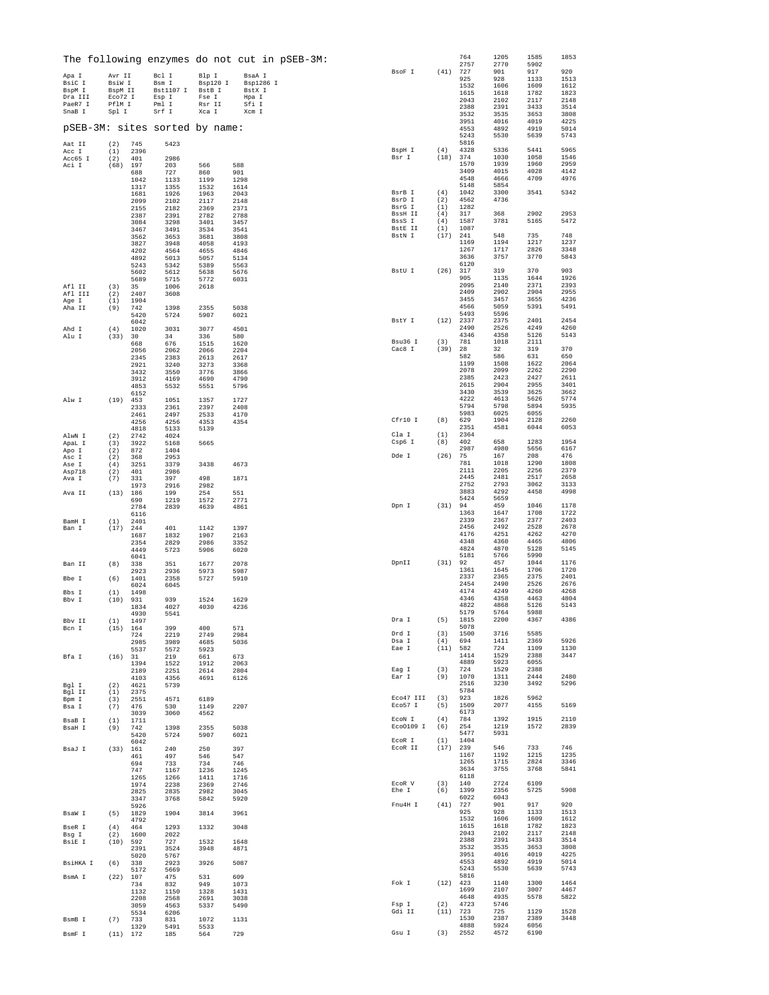|                   |                    |              |                                |                 |                 | The following enzymes do not cut in pSEB-3M: |                          |            | 764<br>2757  | 1205<br>2770 | 1585<br>5902 | 1853         |
|-------------------|--------------------|--------------|--------------------------------|-----------------|-----------------|----------------------------------------------|--------------------------|------------|--------------|--------------|--------------|--------------|
| Apa I             | Avr II             |              | Bcl I                          | Blp I           | BsaA I          |                                              | BsoF I                   | (41)       | 727          | 901          | 917          | 920          |
| BsiC I            | BsiW I             |              | Bsm I                          | Bsp120 I        | Bsp1286 I       |                                              |                          |            | 925<br>1532  | 928<br>1606  | 1133<br>1609 | 1513<br>1612 |
| BspM I<br>Dra III | BspM II<br>Eco72 I |              | Bst1107 I<br>Esp I             | BstB I<br>Fse I | BstX I<br>Hpa I |                                              |                          |            | 1615         | 1618         | 1782         | 1823         |
| PaeR7 I           | PflM I             |              | Pml I                          | Rsr II          | Sfi I           |                                              |                          |            | 2043<br>2388 | 2102<br>2391 | 2117<br>3433 | 2148<br>3514 |
| SnaB I            | Spl I              |              | Srf I                          | Xca I           | Xcm I           |                                              |                          |            | 3532         | 3535         | 3653         | 3808         |
|                   |                    |              | pSEB-3M: sites sorted by name: |                 |                 |                                              |                          |            | 3951<br>4553 | 4016<br>4892 | 4019<br>4919 | 4225<br>5014 |
|                   |                    |              |                                |                 |                 |                                              |                          |            | 5243         | 5530         | 5639         | 5743         |
| Aat II            | (2)                | 745          | 5423                           |                 |                 |                                              | BspH I                   | (4)        | 5816<br>4328 |              | 5441         | 5965         |
| Acc I<br>Acc65 I  | (1)<br>(2)         | 2396<br>401  | 2986                           |                 |                 |                                              | Bsr I                    | (18)       | 374          | 5336<br>1030 | 1058         | 1546         |
| Aci I             | (68)               | 197          | 203                            | 566             | 588             |                                              |                          |            | 1570         | 1939         | 1960         | 2959         |
|                   |                    | 688<br>1042  | 727<br>1133                    | 860<br>1199     | 901<br>1298     |                                              |                          |            | 3409<br>4548 | 4015<br>4666 | 4028<br>4709 | 4142<br>4976 |
|                   |                    | 1317         | 1355                           | 1532            | 1614            |                                              |                          |            | 5148         | 5854         |              |              |
|                   |                    | 1681         | 1926                           | 1963            | 2043            |                                              | BsrB I<br>BsrD I         | (4)<br>(2) | 1042<br>4562 | 3300<br>4736 | 3541         | 5342         |
|                   |                    | 2099<br>2155 | 2102<br>2182                   | 2117<br>2369    | 2148<br>2371    |                                              | BsrG I                   | (1)        | 1282         |              |              |              |
|                   |                    | 2387         | 2391                           | 2782            | 2788            |                                              | <b>BssH II</b><br>BssS I | (4)<br>(4) | 317<br>1587  | 368<br>3781  | 2902<br>5165 | 2953<br>5472 |
|                   |                    | 3084<br>3467 | 3298<br>3491                   | 3401<br>3534    | 3457<br>3541    |                                              | <b>BstE II</b>           | (1)        | 1087         |              |              |              |
|                   |                    | 3562         | 3653                           | 3681            | 3808            |                                              | BstN I                   | (17)       | 241          | 548          | 735<br>1217  | 748          |
|                   |                    | 3827<br>4202 | 3948<br>4564                   | 4058<br>4655    | 4193<br>4846    |                                              |                          |            | 1169<br>1267 | 1194<br>1717 | 2826         | 1237<br>3348 |
|                   |                    | 4892         | 5013                           | 5057            | 5134            |                                              |                          |            | 3636         | 3757         | 3770         | 5843         |
|                   |                    | 5243<br>5602 | 5342<br>5612                   | 5389<br>5638    | 5563<br>5676    |                                              | BstU I                   | (26)       | 6120<br>317  | 319          | 370          | 903          |
|                   |                    | 5689         | 5715                           | 5772            | 6031            |                                              |                          |            | 905          | 1135         | 1644         | 1926         |
| Afl II<br>Afl III | (3)<br>(2)         | 35<br>2407   | 1006<br>3608                   | 2618            |                 |                                              |                          |            | 2095<br>2409 | 2140<br>2902 | 2371<br>2904 | 2393<br>2955 |
| Age I             | (1)                | 1904         |                                |                 |                 |                                              |                          |            | 3455         | 3457         | 3655         | 4236         |
| Aha II            | (9)                | 742          | 1398                           | 2355            | 5038            |                                              |                          |            | 4566<br>5493 | 5059<br>5596 | 5391         | 5491         |
|                   |                    | 5420<br>6042 | 5724                           | 5907            | 6021            |                                              | BstY I                   | (12)       | 2337         | 2375         | 2401         | 2454         |
| Ahd I             | (4)                | 1020         | 3031                           | 3077            | 4501            |                                              |                          |            | 2490<br>4346 | 2526<br>4358 | 4249<br>5126 | 4260<br>5143 |
| Alu I             | (33)               | 30<br>668    | 34<br>676                      | 336<br>1515     | 580<br>1620     |                                              | Bsu36 I                  | (3)        | 781          | 1018         | 2111         |              |
|                   |                    | 2056         | 2062                           | 2066            | 2204            |                                              | Cac8 I                   | (39)       | 28<br>582    | 32<br>586    | 319          | 370<br>650   |
|                   |                    | 2345<br>2921 | 2383<br>3240                   | 2613<br>3273    | 2617<br>3368    |                                              |                          |            | 1199         | 1508         | 631<br>1622  | 2064         |
|                   |                    | 3432         | 3550                           | 3776            | 3866            |                                              |                          |            | 2078         | 2099         | 2262         | 2290         |
|                   |                    | 3912<br>4853 | 4169<br>5532                   | 4690<br>5551    | 4790<br>5796    |                                              |                          |            | 2385<br>2615 | 2423<br>2904 | 2427<br>2955 | 2611<br>3401 |
|                   |                    | 6152         |                                |                 |                 |                                              |                          |            | 3430         | 3539         | 3625         | 3662         |
| Alw I             | (19)               | 453<br>2333  | 1051                           | 1357<br>2397    | 1727<br>2408    |                                              |                          |            | 4222<br>5794 | 4613<br>5798 | 5626<br>5894 | 5774<br>5935 |
|                   |                    | 2461         | 2361<br>2497                   | 2533            | 4170            |                                              |                          |            | 5983         | 6025         | 6055         |              |
|                   |                    | 4256         | 4256                           | 4353            | 4354            |                                              | Cfr10 I                  | (8)        | 629<br>2351  | 1904<br>4581 | 2128<br>6044 | 2260<br>6053 |
| AlwN I            | (2)                | 4818<br>2742 | 5133<br>4024                   | 5139            |                 |                                              | Cla I                    | (1)        | 2364         |              |              |              |
| ApaL I            | (3)                | 3922         | 5168                           | 5665            |                 |                                              | Csp6 I                   | (8)        | 402<br>2987  | 658<br>4980  | 1283<br>5656 | 1954<br>6167 |
| Apo I<br>Asc I    | (2)<br>(2)         | 872<br>368   | 1404<br>2953                   |                 |                 |                                              | Dde I                    | (26)       | 75           | 167          | 208          | 476          |
| Ase I             | (4)                | 3251         | 3379                           | 3438            | 4673            |                                              |                          |            | 781<br>2111  | 1018<br>2205 | 1290<br>2256 | 1808<br>2379 |
| Asp718<br>Ava I   | (2)<br>(7)         | 401<br>331   | 2986<br>397                    | 498             | 1871            |                                              |                          |            | 2445         | 2481         | 2517         | 2658         |
|                   |                    | 1973         | 2916                           | 2982            |                 |                                              |                          |            | 2752<br>3883 | 2793<br>4292 | 3062<br>4458 | 3133<br>4998 |
| Ava II            | (13)               | 186<br>690   | 199<br>1219                    | 254<br>1572     | 551<br>2771     |                                              |                          |            | 5424         | 5659         |              |              |
|                   |                    | 2784         | 2839                           | 4639            | 4861            |                                              | Dpn I                    | (31)       | 94           | 459          | 1046         | 1178         |
| BamH I            | (1)                | 6116<br>2401 |                                |                 |                 |                                              |                          |            | 1363<br>2339 | 1647<br>2367 | 1708<br>2377 | 1722<br>2403 |
| Ban I             | (17)               | 244          | 401                            | 1142            | 1397            |                                              |                          |            | 2456         | 2492         | 2528         | 2678         |
|                   |                    | 1687<br>2354 | 1832<br>2829                   | 1907<br>2986    | 2163<br>3352    |                                              |                          |            | 4176<br>4348 | 4251<br>4360 | 4262<br>4465 | 4270<br>4806 |
|                   |                    | 4449         | 5723                           | 5906            | 6020            |                                              |                          |            | 4824         | 4870         | 5128         | 5145         |
| Ban TT            | (8)                | 6041<br>338  | 351                            | 1677            | 2078            |                                              | DpnII                    | (31) 92    | 5181         | 5766<br>457  | 5990<br>1044 | 1176         |
|                   |                    | 2923         | 2936                           | 5973            | 5987            |                                              |                          |            | 1361         | 1645         | 1706         | 1720         |
| Bbe I             | (6)                | 1401         | 2358                           | 5727            | 5910            |                                              |                          |            | 2337<br>2454 | 2365<br>2490 | 2375<br>2526 | 2401<br>2676 |
| Bbs I             | (1)                | 6024<br>1498 | 6045                           |                 |                 |                                              |                          |            | 4174         | 4249         | 4260         | 4268         |
| Bbv I             | (10)               | 931          | 939                            | 1524            | 1629            |                                              |                          |            | 4346<br>4822 | 4358<br>4868 | 4463<br>5126 | 4804<br>5143 |
|                   |                    | 1834<br>4930 | 4027<br>5541                   | 4030            | 4236            |                                              |                          |            | 5179         | 5764         | 5988         |              |
| Bby II            | (1)                | 1497         |                                |                 |                 |                                              | Dra I                    | (5)        | 1815         | 2200         | 4367         | 4386         |
| Bcn I             | (15) 164           | 724          | 399<br>2219                    | 400<br>2749     | 571<br>2984     |                                              | Drd I                    | (3)        | 5078<br>1500 | 3716         | 5585         |              |
|                   |                    | 2985         | 3989                           | 4685            | 5036            |                                              | Dsa I<br>Eae I           | (4)        | 694          | 1411         | 2369         | 5926         |
| Bfa I             | (16)               | 5537<br>31   | 5572<br>219                    | 5923<br>661     | 673             |                                              |                          | (11)       | 582<br>1414  | 724<br>1529  | 1109<br>2388 | 1130<br>3447 |
|                   |                    | 1394         | 1522                           | 1912            | 2063            |                                              |                          |            | 4889         | 5923         | 6055         |              |
|                   |                    | 2189<br>4103 | 2251<br>4356                   | 2614<br>4691    | 2804<br>6126    |                                              | Eag I<br>Ear I           | (3)<br>(9) | 724<br>1070  | 1529<br>1311 | 2388<br>2444 | 2480         |
| Bgl I             | (2)                | 4621         | 5739                           |                 |                 |                                              |                          |            | 2516         | 3230         | 3492         | 5296         |
| Bgl II            | (1)                | 2375         |                                |                 |                 |                                              | Eco47 III                | (3)        | 5784<br>923  | 1826         | 5962         |              |
| Bpm I<br>Bsa I    | (3)<br>(7)         | 2551<br>476  | 4571<br>530                    | 6189<br>1149    | 2207            |                                              | Eco57 I                  | (5)        | 1509         | 2077         | 4155         | 5169         |
|                   |                    | 3039         | 3060                           | 4562            |                 |                                              | ECON I                   | (4)        | 6173<br>784  | 1392         | 1915         | 2110         |
| BsaB I<br>BsaH I  | (1)<br>(9)         | 1711<br>742  | 1398                           | 2355            | 5038            |                                              | Eco0109 I                | (6)        | 254          | 1219         | 1572         | 2839         |
|                   |                    | 5420         | 5724                           | 5907            | 6021            |                                              | ECOR I                   | (1)        | 5477<br>1404 | 5931         |              |              |
| BsaJ I            | (33)               | 6042<br>161  | 240                            | 250             | 397             |                                              | ECOR II                  | (17)       | 239          | 546          | 733          | 746          |
|                   |                    | 461          | 497                            | 546             | 547             |                                              |                          |            | 1167         | 1192         | 1215         | 1235         |
|                   |                    | 694<br>747   | 733<br>1167                    | 734<br>1236     | 746<br>1245     |                                              |                          |            | 1265<br>3634 | 1715<br>3755 | 2824<br>3768 | 3346<br>5841 |
|                   |                    | 1265         | 1266                           | 1411            | 1716            |                                              |                          |            | 6118         |              |              |              |
|                   |                    | 1974<br>2825 | 2238<br>2835                   | 2369<br>2982    | 2746<br>3045    |                                              | ECOR V<br>Ehe I          | (3)<br>(6) | 140<br>1399  | 2724<br>2356 | 6109<br>5725 | 5908         |
|                   |                    | 3347         | 3768                           | 5842            | 5920            |                                              |                          |            | 6022         | 6043         |              |              |
|                   |                    | 5926         | 1904                           | 3814            |                 |                                              | Fnu4H I                  | (41)       | 727<br>925   | 901<br>928   | 917<br>1133  | 920<br>1513  |
| BsaW I            | (5)                | 1829<br>4792 |                                |                 | 3961            |                                              |                          |            | 1532         | 1606         | 1609         | 1612         |
| BseR I            | (4)                | 464          | 1293                           | 1332            | 3048            |                                              |                          |            | 1615<br>2043 | 1618<br>2102 | 1782<br>2117 | 1823<br>2148 |
| Bsg I<br>BsiE I   | (2)<br>(10)        | 1600<br>592  | 2022<br>727                    | 1532            | 1648            |                                              |                          |            | 2388         | 2391         | 3433         | 3514         |
|                   |                    | 2391         | 3524                           | 3948            | 4871            |                                              |                          |            | 3532         | 3535         | 3653         | 3808<br>4225 |
| BsiHKA I          | (6)                | 5020<br>338  | 5767<br>2923                   | 3926            | 5087            |                                              |                          |            | 3951<br>4553 | 4016<br>4892 | 4019<br>4919 | 5014         |
|                   |                    | 5172         | 5669                           |                 |                 |                                              |                          |            | 5243         | 5530         | 5639         | 5743         |
| BsmA I            | (22)               | 107<br>734   | 475<br>832                     | 531<br>949      | 609<br>1073     |                                              | Fok I                    | $(12)$ 423 | 5816         | 1140         | 1300         | 1464         |
|                   |                    | 1132         | 1150                           | 1328            | 1431            |                                              |                          |            | 1699         | 2107         | 3007         | 4467         |
|                   |                    | 2208<br>3059 | 2568<br>4563                   | 2691<br>5337    | 3038<br>5490    |                                              | Fsp I                    | (2)        | 4648<br>4723 | 4935<br>5746 | 5578         | 5822         |
|                   |                    | 5534         | 6206                           |                 |                 |                                              | Gdi II                   | (11)       | 723          | 725          | 1129         | 1528         |
| BsmB I            | (7)                | 733          | 831                            | 1072            | 1131            |                                              |                          |            | 1530<br>4888 | 2387<br>5924 | 2389<br>6056 | 3448         |
| BsmF I            | (11) 172           | 1329         | 5491<br>185                    | 5533<br>564     | 729             |                                              | Gsu I                    | (3)        | 2552         | 4572         | 6190         |              |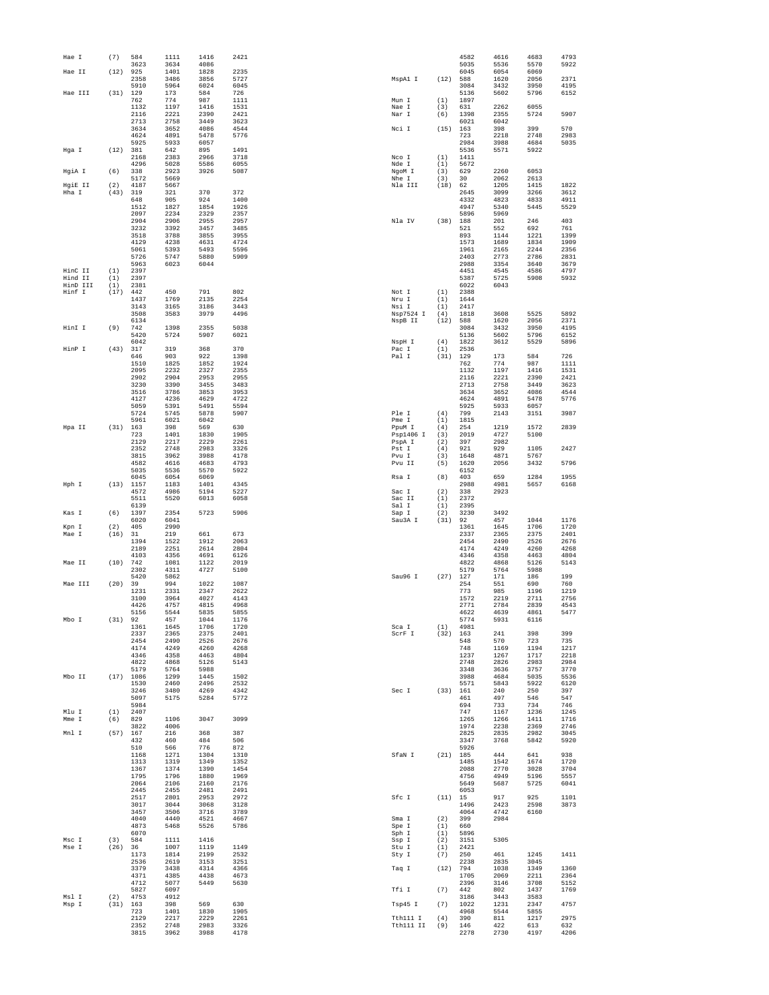| Hae I              | (7)         | 584                  | 1111                 | 1416                 | 2421                 |                       |             | 4582         | 4616               | 4683                | 4793                |
|--------------------|-------------|----------------------|----------------------|----------------------|----------------------|-----------------------|-------------|--------------|--------------------|---------------------|---------------------|
| Hae TT             | (12)        | 3623<br>925          | 3634<br>1401         | 4086<br>1828         | 2235                 |                       |             | 5035<br>6045 | 5536<br>6054       | 5570<br>6069        | 5922                |
|                    |             | 2358                 | 3486                 | 3856                 | 5727                 | MspAl I               | (12)        | 588          | 1620               | 2056                | 2371                |
|                    |             | 5910                 | 5964                 | 6024                 | 6045                 |                       |             | 3084         | 3432               | 3950                | 4195                |
| Hae III            | (31)        | 129<br>762           | 173<br>774           | 584<br>987           | 726<br>1111          | Mun I                 | (1)         | 5136<br>1897 | 5602               | 5796                | 6152                |
|                    |             | 1132                 | 1197                 | 1416                 | 1531                 | Nae I                 | (3)         | 631          | 2262               | 6055                |                     |
|                    |             | 2116                 | 2221                 | 2390                 | 2421                 | Nar I                 | (6)         | 1398         | 2355               | 5724                | 5907                |
|                    |             | 2713<br>3634         | 2758<br>3652         | 3449<br>4086         | 3623<br>4544         | Nci I                 | (15)        | 6021<br>163  | 6042<br>398        | 399                 | 570                 |
|                    |             | 4624                 | 4891                 | 5478                 | 5776                 |                       |             | 723          | 2218               | 2748                | 2983                |
| Hga I              | (12)        | 5925<br>381          | 5933<br>642          | 6057<br>895          | 1491                 |                       |             | 2984<br>5536 | 3988<br>5571       | 4684<br>5922        | 5035                |
|                    |             | 2168                 | 2383                 | 2966                 | 3718                 | Nco I                 | (1)         | 1411         |                    |                     |                     |
|                    |             | 4296                 | 5028                 | 5586                 | 6055                 | Nde I                 | (1)         | 5672         |                    |                     |                     |
| HgiA I             | (6)         | 338<br>5172          | 2923<br>5669         | 3926                 | 5087                 | NgoM I<br>Nhe I       | (3)<br>(3)  | 629<br>30    | 2260<br>2062       | 6053<br>2613        |                     |
| HgiE II            | (2)         | 4187                 | 5667                 |                      |                      | Nla III               | (18)        | 62           | 1205               | 1415                | 1822                |
| Hha I              | (43)        | 319                  | 321                  | 370                  | 372                  |                       |             | 2645         | 3099               | 3266                | 3612                |
|                    |             | 648<br>1512          | 905<br>1827          | 924<br>1854          | 1400<br>1926         |                       |             | 4332<br>4947 | 4823<br>5340       | 4833<br>5445        | 4911<br>5529        |
|                    |             | 2097                 | 2234                 | 2329                 | 2357                 |                       |             | 5896         | 5969               |                     |                     |
|                    |             | 2904                 | 2906                 | 2955                 | 2957                 | Nla IV                | (38)        | 188          | 201                | 246                 | 403                 |
|                    |             | 3232<br>3518         | 3392<br>3788         | 3457<br>3855         | 3485<br>3955         |                       |             | 521<br>893   | 552<br>1144        | 692<br>1221         | 761<br>1399         |
|                    |             | 4129                 | 4238                 | 4631                 | 4724                 |                       |             | 1573         | 1689               | 1834                | 1909                |
|                    |             | 5061                 | 5393                 | 5493                 | 5596                 |                       |             | 1961         | 2165               | 2244                | 2356                |
|                    |             | 5726<br>5963         | 5747<br>6023         | 5880<br>6044         | 5909                 |                       |             | 2403<br>2988 | 2773<br>3354       | 2786<br>3640        | 2831<br>3679        |
| HinC II            | (1)         | 2397                 |                      |                      |                      |                       |             | 4451         | 4545               | 4586                | 4797                |
| Hind II            | (1)         | 2397                 |                      |                      |                      |                       |             | 5387         | 5725               | 5908                | 5932                |
| HinD III<br>Hinf I | (1)<br>(17) | 2381<br>442          | 450                  | 791                  | 802                  | Not I                 | (1)         | 6022<br>2388 | 6043               |                     |                     |
|                    |             | 1437                 | 1769                 | 2135                 | 2254                 | Nru I                 | (1)         | 1644         |                    |                     |                     |
|                    |             | 3143                 | 3165                 | 3186                 | 3443                 | Nsi I                 | (1)         | 2417         |                    |                     |                     |
|                    |             | 3508<br>6134         | 3583                 | 3979                 | 4496                 | Nsp7524 I<br>NspB II  | (4)<br>(12) | 1818<br>588  | 3608<br>1620       | 5525<br>2056        | 5892<br>2371        |
| HinI I             | (9)         | 742                  | 1398                 | 2355                 | 5038                 |                       |             | 3084         | 3432               | 3950                | 4195                |
|                    |             | 5420                 | 5724                 | 5907                 | 6021                 |                       |             | 5136         | 5602               | 5796                | 6152                |
| HinP I             | (43)        | 6042<br>317          | 319                  | 368                  | 370                  | NspH I<br>Pac I       | (4)<br>(1)  | 1822<br>2536 | 3612               | 5529                | 5896                |
|                    |             | 646                  | 903                  | 922                  | 1398                 | Pal I                 | (31)        | 129          | 173                | 584                 | 726                 |
|                    |             | 1510                 | 1825                 | 1852                 | 1924                 |                       |             | 762          | 774                | 987                 | 1111                |
|                    |             | 2095<br>2902         | 2232<br>2904         | 2327<br>2953         | 2355<br>2955         |                       |             | 1132<br>2116 | 1197<br>2221       | 1416<br>2390        | 1531<br>2421        |
|                    |             | 3230                 | 3390                 | 3455                 | 3483                 |                       |             | 2713         | 2758               | 3449                | 3623                |
|                    |             | 3516                 | 3786                 | 3853                 | 3953                 |                       |             | 3634         | 3652               | 4086                | 4544                |
|                    |             | 4127<br>5059         | 4236<br>5391         | 4629<br>5491         | 4722<br>5594         |                       |             | 4624<br>5925 | 4891<br>5933       | 5478<br>6057        | 5776                |
|                    |             | 5724                 | 5745                 | 5878                 | 5907                 | Ple I                 | (4)         | 799          | 2143               | 3151                | 3987                |
|                    |             | 5961                 | 6021                 | 6042                 |                      | Pme I                 | (1)         | 1815         |                    |                     |                     |
| Hpa II             | (31)        | 163                  | 398                  | 569                  | 630                  | PpuM I                | (4)         | 254          | 1219               | 1572                | 2839                |
|                    |             | 723<br>2129          | 1401<br>2217         | 1830<br>2229         | 1905<br>2261         | Psp1406 I<br>PspA I   | (3)<br>(2)  | 2019<br>397  | 4727<br>2982       | 5100                |                     |
|                    |             | 2352                 | 2748                 | 2983                 | 3326                 | Pst I                 | (4)         | 921          | 929                | 1105                | 2427                |
|                    |             | 3815                 | 3962                 | 3988                 | 4178                 | Pvu I                 | (3)         | 1648         | 4871               | 5767                |                     |
|                    |             | 4582<br>5035         | 4616<br>5536         | 4683<br>5570         | 4793<br>5922         | Pvu II                | (5)         | 1620<br>6152 | 2056               | 3432                | 5796                |
|                    |             | 6045                 | 6054                 | 6069                 |                      | Rsa I                 | (8)         | 403          | 659                | 1284                | 1955                |
| Hph I              | (13)        | 1157                 | 1183                 | 1401<br>5194         | 4345                 |                       |             | 2988         | 4981               | 5657                | 6168                |
|                    |             | 4572<br>5511         | 4986<br>5520         | 6013                 | 5227<br>6058         | Sac I<br>Sac II       | (2)<br>(1)  | 338<br>2372  | 2923               |                     |                     |
|                    |             | 6139                 |                      |                      |                      | Sal I                 | (1)         | 2395         |                    |                     |                     |
| Kas I              | (6)         | 1397<br>6020         | 2354<br>6041         | 5723                 | 5906                 | Sap I<br>Sau3A I      | (2)<br>(31) | 3230<br>92   | 3492<br>457        | 1044                | 1176                |
| Kpn I              | (2)         | 405                  | 2990                 |                      |                      |                       |             | 1361         | 1645               | 1706                | 1720                |
| Mae I              | (16)        | 31                   | 219                  | 661                  | 673                  |                       |             | 2337         | 2365               | 2375                | 2401                |
|                    |             | 1394<br>2189         | 1522<br>2251         | 1912<br>2614         | 2063<br>2804         |                       |             | 2454<br>4174 | 2490<br>4249       | 2526<br>4260        | 2676<br>4268        |
|                    |             | 4103                 | 4356                 | 4691                 | 6126                 |                       |             | 4346         | 4358               | 4463                | 4804                |
| Mae II             | (10)        | 742                  | 1081                 | 1122                 | 2019                 |                       |             | 4822<br>5179 | 4868               | 5126<br>5988        | 5143                |
|                    |             | 2302<br>5420         | 4311<br>5862         | 4727                 | 5100                 | Sau96 I               | (27)        | 127          | 5764<br>171        | 186                 | 199                 |
| Mae III            | (20)        | 39                   | 994                  | 1022                 | 1087                 |                       |             | 254          | 551                | 690                 | 760                 |
|                    |             | 1231<br>3100         | 2331                 | 2347                 | 2622                 |                       |             | 773          | 985                | 1196                | 1219                |
|                    |             |                      |                      |                      | 4143                 |                       |             | 1572         |                    |                     |                     |
|                    |             |                      | 3964                 | 4027                 |                      |                       |             |              | 2219               | 2711                | 2756                |
|                    |             | 4426<br>5156         | 4757<br>5544         | 4815<br>5835         | 4968<br>5855         |                       |             | 2771<br>4622 | 2784<br>4639       | 2839<br>4861        | 4543<br>5477        |
| Mbo I              | (31)        | 92                   | 457                  | 1044                 | 1176                 |                       |             | 5774         | 5931               | 6116                |                     |
|                    |             | 1361                 | 1645                 | 1706                 | 1720                 | Sca I                 | (1)         | 4981         |                    | 398                 | 399                 |
|                    |             | 2337<br>2454         | 2365<br>2490         | 2375<br>2526         | 2401<br>2676         | ScrF I                | (32)        | 163<br>548   | 241<br>570         | 723                 | 735                 |
|                    |             | 4174                 | 4249                 | 4260                 | 4268                 |                       |             | 748          | 1169               | 1194                | 1217                |
|                    |             | 4346                 | 4358                 | 4463                 | 4804<br>5143         |                       |             | 1237         | 1267               | 1717<br>2983        | 2218<br>2984        |
|                    |             | 4822<br>5179         | 4868<br>5764         | 5126<br>5988         |                      |                       |             | 2748<br>3348 | 2826<br>3636       | 3757                | 3770                |
| Mbo II             |             | $(17)$ 1086          | 1299                 | 1445                 | 1502                 |                       |             | 3988         | 4684               | 5035                | 5536                |
|                    |             | 1530<br>3246         | 2460<br>3480         | 2496<br>4269         | 2532<br>4342         | Sec I                 | (33) 161    | 5571         | 5843<br>240        | 5922<br>250         | 6120<br>397         |
|                    |             | 5097                 | 5175                 | 5284                 | 5772                 |                       |             | 461          | 497                | 546                 | 547                 |
|                    |             | 5984                 |                      |                      |                      |                       |             | 694          | 733                | 734                 | 746                 |
| Mlu I              | (1)         | 2407                 |                      |                      |                      |                       |             | 747          | 1167               | 1236                | 1245                |
| Mme I              | (6)         | 829<br>3822          | 1106<br>4006         | 3047                 | 3099                 |                       |             | 1265<br>1974 | 1266<br>2238       | 1411<br>2369        | 1716<br>2746        |
| Mnl I              | (57) 167    |                      | 216                  | 368                  | 387                  |                       |             | 2825         | 2835               | 2982                | 3045                |
|                    |             | 432<br>510           | 460<br>566           | 484<br>776           | 506<br>872           |                       |             | 3347<br>5926 | 3768               | 5842                | 5920                |
|                    |             | 1168                 | 1271                 | 1304                 | 1310                 | SfaN I                | $(21)$ 185  |              | 444                | 641                 | 938                 |
|                    |             | 1313                 | 1319                 | 1349                 | 1352                 |                       |             | 1485         | 1542               | 1674                | 1720                |
|                    |             | 1367                 | 1374                 | 1390                 | 1454                 |                       |             | 2088         | 2770               | 3028                | 3704                |
|                    |             | 1795<br>2064         | 1796<br>2106         | 1880<br>2160         | 1969<br>2176         |                       |             | 4756<br>5649 | 4949<br>5687       | 5196<br>5725        | 5557<br>6041        |
|                    |             | 2445                 | 2455                 | 2481                 | 2491                 |                       |             | 6053         |                    |                     |                     |
|                    |             | 2517<br>3017         | 2801<br>3044         | 2953<br>3068         | 2972<br>3128         | Sfc I                 | (11) 15     | 1496         | 917<br>2423        | 925<br>2598         | 1101<br>3873        |
|                    |             | 3457                 | 3506                 | 3716                 | 3789                 |                       |             | 4064         | 4742               | 6160                |                     |
|                    |             | 4040                 | 4440                 | 4521                 | 4667                 | Sma I                 | (2)         | 399          | 2984               |                     |                     |
|                    |             | 4873<br>6070         | 5468                 | 5526                 | 5786                 | Spe I                 | (1)<br>(1)  | 660<br>5896  |                    |                     |                     |
| Msc I              | (3)         | 584                  | 1111                 | 1416                 |                      | Sph I<br>Ssp I        | (2)         | 3151         | 5305               |                     |                     |
| Mse I              | (26)        | 36                   | 1007                 | 1119                 | 1149                 | Stu I                 | (1)         | 2421         |                    |                     |                     |
|                    |             | 1173<br>2536         | 1814<br>2619         | 2199<br>3153         | 2532<br>3251         | Sty I                 | (7)         | 250<br>2238  | 461<br>2835        | 1245<br>3045        | 1411                |
|                    |             | 3379                 | 3438                 | 4314                 | 4366                 | Taq I                 | (12)        | 794          | 1038               | 1349                | 1360                |
|                    |             | 4371                 | 4385                 | 4438                 | 4673                 |                       |             | 1705         | 2069               | 2211                | 2364                |
|                    |             | 4712                 | 5077                 | 5449                 | 5630                 |                       |             | 2396         | 3146               | 3708                | 5152                |
| Msl I              | (2)         | 5827<br>4753         | 6097<br>4912         |                      |                      | Tfi I                 | (7)         | 442<br>3186  | 802<br>3443        | 1437<br>3583        | 1769                |
| Msp I              | (31)        | 163                  | 398                  | 569                  | 630                  | Tsp45 I               | (7)         | 1022         | 1231               | 2347                | 4757                |
|                    |             | 723                  | 1401                 | 1830                 | 1905                 |                       |             | 4968         | 5544               | 5855                |                     |
|                    |             | 2129<br>2352<br>3815 | 2217<br>2748<br>3962 | 2229<br>2983<br>3988 | 2261<br>3326<br>4178 | Tth111 I<br>Tth111 II | (4)<br>(9)  | 390<br>146   | 811<br>422<br>2730 | 1217<br>613<br>4197 | 2975<br>632<br>4206 |